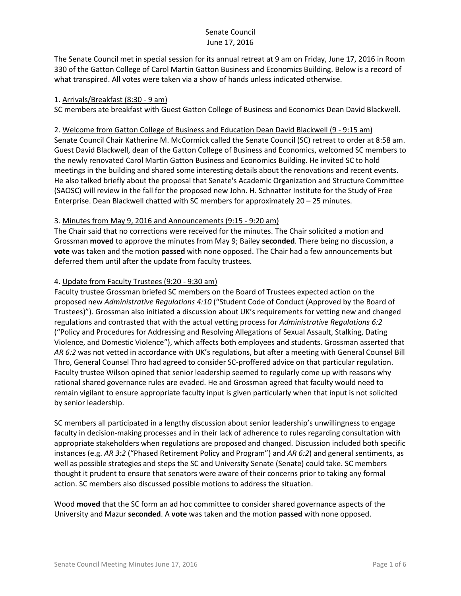The Senate Council met in special session for its annual retreat at 9 am on Friday, June 17, 2016 in Room 330 of the Gatton College of Carol Martin Gatton Business and Economics Building. Below is a record of what transpired. All votes were taken via a show of hands unless indicated otherwise.

### 1. Arrivals/Breakfast (8:30 - 9 am)

SC members ate breakfast with Guest Gatton College of Business and Economics Dean David Blackwell.

#### 2. Welcome from Gatton College of Business and Education Dean David Blackwell (9 - 9:15 am)

Senate Council Chair Katherine M. McCormick called the Senate Council (SC) retreat to order at 8:58 am. Guest David Blackwell, dean of the Gatton College of Business and Economics, welcomed SC members to the newly renovated Carol Martin Gatton Business and Economics Building. He invited SC to hold meetings in the building and shared some interesting details about the renovations and recent events. He also talked briefly about the proposal that Senate's Academic Organization and Structure Committee (SAOSC) will review in the fall for the proposed new John. H. Schnatter Institute for the Study of Free Enterprise. Dean Blackwell chatted with SC members for approximately 20 – 25 minutes.

### 3. Minutes from May 9, 2016 and Announcements (9:15 - 9:20 am)

The Chair said that no corrections were received for the minutes. The Chair solicited a motion and Grossman **moved** to approve the minutes from May 9; Bailey **seconded**. There being no discussion, a **vote** was taken and the motion **passed** with none opposed. The Chair had a few announcements but deferred them until after the update from faculty trustees.

## 4. Update from Faculty Trustees (9:20 - 9:30 am)

Faculty trustee Grossman briefed SC members on the Board of Trustees expected action on the proposed new *Administrative Regulations 4:10* ("Student Code of Conduct (Approved by the Board of Trustees)"). Grossman also initiated a discussion about UK's requirements for vetting new and changed regulations and contrasted that with the actual vetting process for *Administrative Regulations 6:2* ("Policy and Procedures for Addressing and Resolving Allegations of Sexual Assault, Stalking, Dating Violence, and Domestic Violence"), which affects both employees and students. Grossman asserted that *AR 6:2* was not vetted in accordance with UK's regulations, but after a meeting with General Counsel Bill Thro, General Counsel Thro had agreed to consider SC-proffered advice on that particular regulation. Faculty trustee Wilson opined that senior leadership seemed to regularly come up with reasons why rational shared governance rules are evaded. He and Grossman agreed that faculty would need to remain vigilant to ensure appropriate faculty input is given particularly when that input is not solicited by senior leadership.

SC members all participated in a lengthy discussion about senior leadership's unwillingness to engage faculty in decision-making processes and in their lack of adherence to rules regarding consultation with appropriate stakeholders when regulations are proposed and changed. Discussion included both specific instances (e.g. *AR 3:2* ("Phased Retirement Policy and Program") and *AR 6:2*) and general sentiments, as well as possible strategies and steps the SC and University Senate (Senate) could take. SC members thought it prudent to ensure that senators were aware of their concerns prior to taking any formal action. SC members also discussed possible motions to address the situation.

Wood **moved** that the SC form an ad hoc committee to consider shared governance aspects of the University and Mazur **seconded**. A **vote** was taken and the motion **passed** with none opposed.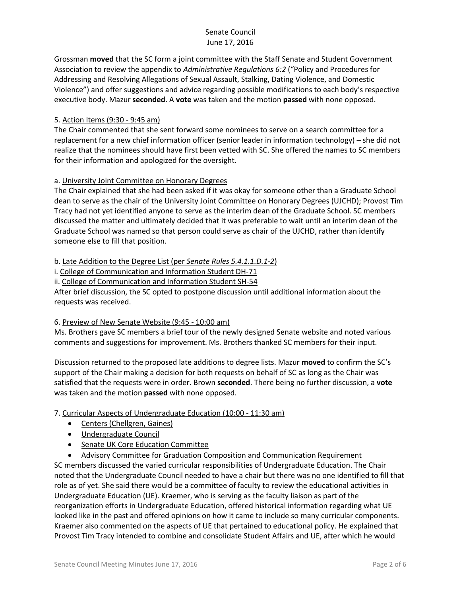Grossman **moved** that the SC form a joint committee with the Staff Senate and Student Government Association to review the appendix to *Administrative Regulations 6:2* ("Policy and Procedures for Addressing and Resolving Allegations of Sexual Assault, Stalking, Dating Violence, and Domestic Violence") and offer suggestions and advice regarding possible modifications to each body's respective executive body. Mazur **seconded**. A **vote** was taken and the motion **passed** with none opposed.

### 5. Action Items (9:30 - 9:45 am)

The Chair commented that she sent forward some nominees to serve on a search committee for a replacement for a new chief information officer (senior leader in information technology) – she did not realize that the nominees should have first been vetted with SC. She offered the names to SC members for their information and apologized for the oversight.

## a. University Joint Committee on Honorary Degrees

The Chair explained that she had been asked if it was okay for someone other than a Graduate School dean to serve as the chair of the University Joint Committee on Honorary Degrees (UJCHD); Provost Tim Tracy had not yet identified anyone to serve as the interim dean of the Graduate School. SC members discussed the matter and ultimately decided that it was preferable to wait until an interim dean of the Graduate School was named so that person could serve as chair of the UJCHD, rather than identify someone else to fill that position.

## b. Late Addition to the Degree List (per *Senate Rules 5.4.1.1.D.1-2*)

i. College of Communication and Information Student DH-71

ii. College of Communication and Information Student SH-54

After brief discussion, the SC opted to postpone discussion until additional information about the requests was received.

### 6. Preview of New Senate Website (9:45 - 10:00 am)

Ms. Brothers gave SC members a brief tour of the newly designed Senate website and noted various comments and suggestions for improvement. Ms. Brothers thanked SC members for their input.

Discussion returned to the proposed late additions to degree lists. Mazur **moved** to confirm the SC's support of the Chair making a decision for both requests on behalf of SC as long as the Chair was satisfied that the requests were in order. Brown **seconded**. There being no further discussion, a **vote** was taken and the motion **passed** with none opposed.

## 7. Curricular Aspects of Undergraduate Education (10:00 - 11:30 am)

- Centers (Chellgren, Gaines)
- Undergraduate Council
- Senate UK Core Education Committee
- Advisory Committee for Graduation Composition and Communication Requirement

SC members discussed the varied curricular responsibilities of Undergraduate Education. The Chair noted that the Undergraduate Council needed to have a chair but there was no one identified to fill that role as of yet. She said there would be a committee of faculty to review the educational activities in Undergraduate Education (UE). Kraemer, who is serving as the faculty liaison as part of the reorganization efforts in Undergraduate Education, offered historical information regarding what UE looked like in the past and offered opinions on how it came to include so many curricular components. Kraemer also commented on the aspects of UE that pertained to educational policy. He explained that Provost Tim Tracy intended to combine and consolidate Student Affairs and UE, after which he would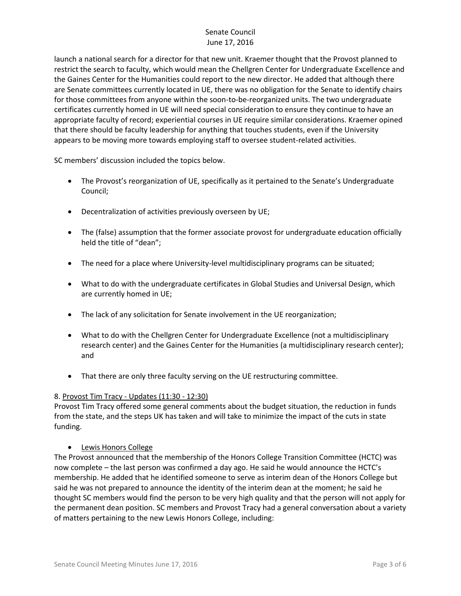launch a national search for a director for that new unit. Kraemer thought that the Provost planned to restrict the search to faculty, which would mean the Chellgren Center for Undergraduate Excellence and the Gaines Center for the Humanities could report to the new director. He added that although there are Senate committees currently located in UE, there was no obligation for the Senate to identify chairs for those committees from anyone within the soon-to-be-reorganized units. The two undergraduate certificates currently homed in UE will need special consideration to ensure they continue to have an appropriate faculty of record; experiential courses in UE require similar considerations. Kraemer opined that there should be faculty leadership for anything that touches students, even if the University appears to be moving more towards employing staff to oversee student-related activities.

SC members' discussion included the topics below.

- The Provost's reorganization of UE, specifically as it pertained to the Senate's Undergraduate Council;
- Decentralization of activities previously overseen by UE;
- The (false) assumption that the former associate provost for undergraduate education officially held the title of "dean";
- The need for a place where University-level multidisciplinary programs can be situated;
- What to do with the undergraduate certificates in Global Studies and Universal Design, which are currently homed in UE;
- The lack of any solicitation for Senate involvement in the UE reorganization;
- What to do with the Chellgren Center for Undergraduate Excellence (not a multidisciplinary research center) and the Gaines Center for the Humanities (a multidisciplinary research center); and
- That there are only three faculty serving on the UE restructuring committee.

### 8. Provost Tim Tracy - Updates (11:30 - 12:30)

Provost Tim Tracy offered some general comments about the budget situation, the reduction in funds from the state, and the steps UK has taken and will take to minimize the impact of the cuts in state funding.

### Lewis Honors College

The Provost announced that the membership of the Honors College Transition Committee (HCTC) was now complete – the last person was confirmed a day ago. He said he would announce the HCTC's membership. He added that he identified someone to serve as interim dean of the Honors College but said he was not prepared to announce the identity of the interim dean at the moment; he said he thought SC members would find the person to be very high quality and that the person will not apply for the permanent dean position. SC members and Provost Tracy had a general conversation about a variety of matters pertaining to the new Lewis Honors College, including: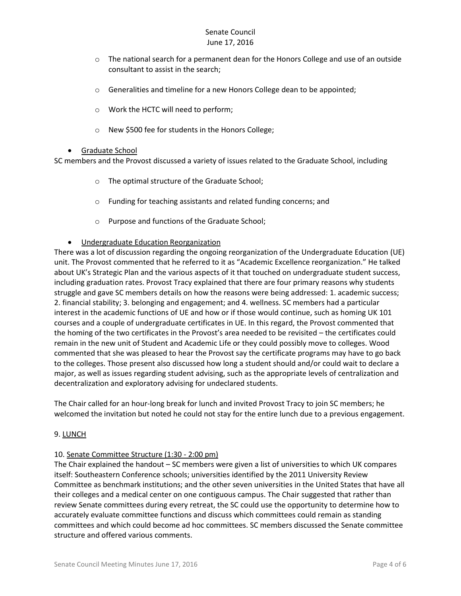- $\circ$  The national search for a permanent dean for the Honors College and use of an outside consultant to assist in the search;
- o Generalities and timeline for a new Honors College dean to be appointed;
- o Work the HCTC will need to perform;
- o New \$500 fee for students in the Honors College;

### Graduate School

SC members and the Provost discussed a variety of issues related to the Graduate School, including

- o The optimal structure of the Graduate School;
- o Funding for teaching assistants and related funding concerns; and
- o Purpose and functions of the Graduate School;
- Undergraduate Education Reorganization

There was a lot of discussion regarding the ongoing reorganization of the Undergraduate Education (UE) unit. The Provost commented that he referred to it as "Academic Excellence reorganization." He talked about UK's Strategic Plan and the various aspects of it that touched on undergraduate student success, including graduation rates. Provost Tracy explained that there are four primary reasons why students struggle and gave SC members details on how the reasons were being addressed: 1. academic success; 2. financial stability; 3. belonging and engagement; and 4. wellness. SC members had a particular interest in the academic functions of UE and how or if those would continue, such as homing UK 101 courses and a couple of undergraduate certificates in UE. In this regard, the Provost commented that the homing of the two certificates in the Provost's area needed to be revisited – the certificates could remain in the new unit of Student and Academic Life or they could possibly move to colleges. Wood commented that she was pleased to hear the Provost say the certificate programs may have to go back to the colleges. Those present also discussed how long a student should and/or could wait to declare a major, as well as issues regarding student advising, such as the appropriate levels of centralization and decentralization and exploratory advising for undeclared students.

The Chair called for an hour-long break for lunch and invited Provost Tracy to join SC members; he welcomed the invitation but noted he could not stay for the entire lunch due to a previous engagement.

### 9. LUNCH

### 10. Senate Committee Structure (1:30 - 2:00 pm)

The Chair explained the handout – SC members were given a list of universities to which UK compares itself: Southeastern Conference schools; universities identified by the 2011 University Review Committee as benchmark institutions; and the other seven universities in the United States that have all their colleges and a medical center on one contiguous campus. The Chair suggested that rather than review Senate committees during every retreat, the SC could use the opportunity to determine how to accurately evaluate committee functions and discuss which committees could remain as standing committees and which could become ad hoc committees. SC members discussed the Senate committee structure and offered various comments.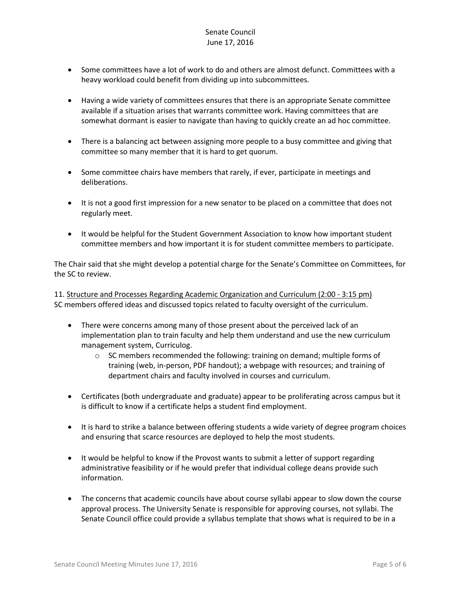- Some committees have a lot of work to do and others are almost defunct. Committees with a heavy workload could benefit from dividing up into subcommittees.
- Having a wide variety of committees ensures that there is an appropriate Senate committee available if a situation arises that warrants committee work. Having committees that are somewhat dormant is easier to navigate than having to quickly create an ad hoc committee.
- There is a balancing act between assigning more people to a busy committee and giving that committee so many member that it is hard to get quorum.
- Some committee chairs have members that rarely, if ever, participate in meetings and deliberations.
- It is not a good first impression for a new senator to be placed on a committee that does not regularly meet.
- It would be helpful for the Student Government Association to know how important student committee members and how important it is for student committee members to participate.

The Chair said that she might develop a potential charge for the Senate's Committee on Committees, for the SC to review.

11. Structure and Processes Regarding Academic Organization and Curriculum (2:00 - 3:15 pm) SC members offered ideas and discussed topics related to faculty oversight of the curriculum.

- There were concerns among many of those present about the perceived lack of an implementation plan to train faculty and help them understand and use the new curriculum management system, Curriculog.
	- $\circ$  SC members recommended the following: training on demand; multiple forms of training (web, in-person, PDF handout); a webpage with resources; and training of department chairs and faculty involved in courses and curriculum.
- Certificates (both undergraduate and graduate) appear to be proliferating across campus but it is difficult to know if a certificate helps a student find employment.
- It is hard to strike a balance between offering students a wide variety of degree program choices and ensuring that scarce resources are deployed to help the most students.
- It would be helpful to know if the Provost wants to submit a letter of support regarding administrative feasibility or if he would prefer that individual college deans provide such information.
- The concerns that academic councils have about course syllabi appear to slow down the course approval process. The University Senate is responsible for approving courses, not syllabi. The Senate Council office could provide a syllabus template that shows what is required to be in a